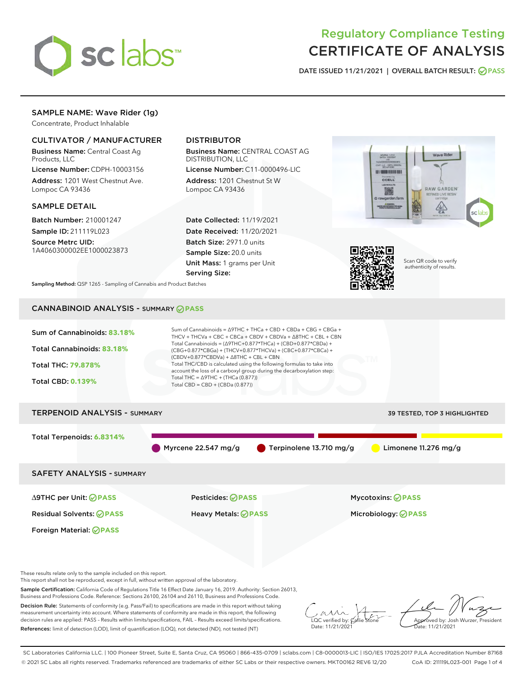

# Regulatory Compliance Testing CERTIFICATE OF ANALYSIS

DATE ISSUED 11/21/2021 | OVERALL BATCH RESULT: @ PASS

# SAMPLE NAME: Wave Rider (1g)

Concentrate, Product Inhalable

# CULTIVATOR / MANUFACTURER

Business Name: Central Coast Ag Products, LLC

License Number: CDPH-10003156 Address: 1201 West Chestnut Ave. Lompoc CA 93436

## SAMPLE DETAIL

Batch Number: 210001247 Sample ID: 211119L023

Source Metrc UID: 1A4060300002EE1000023873

# DISTRIBUTOR

Business Name: CENTRAL COAST AG DISTRIBUTION, LLC

License Number: C11-0000496-LIC Address: 1201 Chestnut St W Lompoc CA 93436

Date Collected: 11/19/2021 Date Received: 11/20/2021 Batch Size: 2971.0 units Sample Size: 20.0 units Unit Mass: 1 grams per Unit Serving Size:





Scan QR code to verify authenticity of results.

Sampling Method: QSP 1265 - Sampling of Cannabis and Product Batches

# CANNABINOID ANALYSIS - SUMMARY **PASS**



Decision Rule: Statements of conformity (e.g. Pass/Fail) to specifications are made in this report without taking measurement uncertainty into account. Where statements of conformity are made in this report, the following decision rules are applied: PASS – Results within limits/specifications, FAIL – Results exceed limits/specifications. References: limit of detection (LOD), limit of quantification (LOQ), not detected (ND), not tested (NT)

 $\overline{\text{LOC}}$  verified by:  $\mathcal{C}_i$ Date: 11/21/2021

Approved by: Josh Wurzer, President ate: 11/21/2021

SC Laboratories California LLC. | 100 Pioneer Street, Suite E, Santa Cruz, CA 95060 | 866-435-0709 | sclabs.com | C8-0000013-LIC | ISO/IES 17025:2017 PJLA Accreditation Number 87168 © 2021 SC Labs all rights reserved. Trademarks referenced are trademarks of either SC Labs or their respective owners. MKT00162 REV6 12/20 CoA ID: 211119L023-001 Page 1 of 4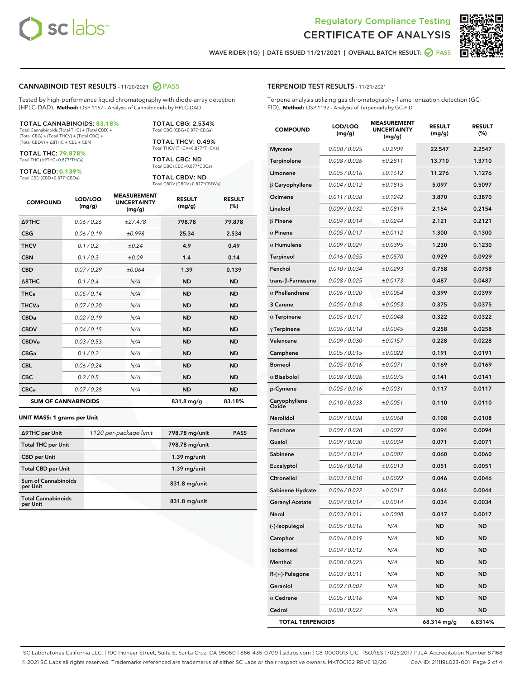



WAVE RIDER (1G) | DATE ISSUED 11/21/2021 | OVERALL BATCH RESULT:  $\bigcirc$  PASS

#### CANNABINOID TEST RESULTS - 11/20/2021 2 PASS

Tested by high-performance liquid chromatography with diode-array detection (HPLC-DAD). **Method:** QSP 1157 - Analysis of Cannabinoids by HPLC-DAD

#### TOTAL CANNABINOIDS: **83.18%**

Total Cannabinoids (Total THC) + (Total CBD) + (Total CBG) + (Total THCV) + (Total CBC) + (Total CBDV) + ∆8THC + CBL + CBN

TOTAL THC: **79.878%** Total THC (∆9THC+0.877\*THCa)

TOTAL CBD: **0.139%**

Total CBD (CBD+0.877\*CBDa)

TOTAL CBG: 2.534% Total CBG (CBG+0.877\*CBGa)

TOTAL THCV: 0.49% Total THCV (THCV+0.877\*THCVa)

TOTAL CBC: ND Total CBC (CBC+0.877\*CBCa)

TOTAL CBDV: ND Total CBDV (CBDV+0.877\*CBDVa)

| <b>COMPOUND</b>            | LOD/LOQ<br>(mg/g) | <b>MEASUREMENT</b><br><b>UNCERTAINTY</b><br>(mg/g) | <b>RESULT</b><br>(mg/g) | <b>RESULT</b><br>(%) |
|----------------------------|-------------------|----------------------------------------------------|-------------------------|----------------------|
| Δ9THC                      | 0.06 / 0.26       | ±27.478                                            | 798.78                  | 79.878               |
| <b>CBG</b>                 | 0.06 / 0.19       | ±0.998                                             | 25.34                   | 2.534                |
| <b>THCV</b>                | 0.1 / 0.2         | ±0.24                                              | 4.9                     | 0.49                 |
| <b>CBN</b>                 | 0.1/0.3           | ±0.09                                              | 1.4                     | 0.14                 |
| <b>CBD</b>                 | 0.07/0.29         | ±0.064                                             | 1.39                    | 0.139                |
| $\triangle$ 8THC           | 0.1 / 0.4         | N/A                                                | <b>ND</b>               | <b>ND</b>            |
| <b>THCa</b>                | 0.05/0.14         | N/A                                                | <b>ND</b>               | <b>ND</b>            |
| <b>THCVa</b>               | 0.07/0.20         | N/A                                                | <b>ND</b>               | <b>ND</b>            |
| <b>CBDa</b>                | 0.02/0.19         | N/A                                                | <b>ND</b>               | <b>ND</b>            |
| <b>CBDV</b>                | 0.04 / 0.15       | N/A                                                | <b>ND</b>               | <b>ND</b>            |
| <b>CBDVa</b>               | 0.03/0.53         | N/A                                                | <b>ND</b>               | <b>ND</b>            |
| <b>CBGa</b>                | 0.1 / 0.2         | N/A                                                | <b>ND</b>               | <b>ND</b>            |
| <b>CBL</b>                 | 0.06 / 0.24       | N/A                                                | <b>ND</b>               | <b>ND</b>            |
| <b>CBC</b>                 | 0.2 / 0.5         | N/A                                                | <b>ND</b>               | <b>ND</b>            |
| <b>CBCa</b>                | 0.07 / 0.28       | N/A                                                | <b>ND</b>               | <b>ND</b>            |
| <b>SUM OF CANNABINOIDS</b> |                   |                                                    | $831.8$ mg/g            | 83.18%               |

#### **UNIT MASS: 1 grams per Unit**

| ∆9THC per Unit                         | 1120 per-package limit | 798.78 mg/unit | <b>PASS</b> |
|----------------------------------------|------------------------|----------------|-------------|
| <b>Total THC per Unit</b>              |                        | 798.78 mg/unit |             |
| <b>CBD</b> per Unit                    |                        | $1.39$ mg/unit |             |
| <b>Total CBD per Unit</b>              |                        | $1.39$ mg/unit |             |
| <b>Sum of Cannabinoids</b><br>per Unit |                        | 831.8 mg/unit  |             |
| <b>Total Cannabinoids</b><br>per Unit  |                        | 831.8 mg/unit  |             |

| <b>COMPOUND</b>           | LOD/LOQ<br>(mg/g) | <b>MEASUREMENT</b><br><b>UNCERTAINTY</b><br>(mg/g) | <b>RESULT</b><br>(mg/g) | <b>RESULT</b><br>(%) |
|---------------------------|-------------------|----------------------------------------------------|-------------------------|----------------------|
| <b>Myrcene</b>            | 0.008 / 0.025     | ±0.2909                                            | 22.547                  | 2.2547               |
| Terpinolene               | 0.008 / 0.026     | ±0.2811                                            | 13.710                  | 1.3710               |
| Limonene                  | 0.005 / 0.016     | ±0.1612                                            | 11.276                  | 1.1276               |
| $\beta$ Caryophyllene     | 0.004 / 0.012     | ±0.1815                                            | 5.097                   | 0.5097               |
| Ocimene                   | 0.011 / 0.038     | ±0.1242                                            | 3.870                   | 0.3870               |
| Linalool                  | 0.009 / 0.032     | ±0.0819                                            | 2.154                   | 0.2154               |
| $\beta$ Pinene            | 0.004 / 0.014     | ±0.0244                                            | 2.121                   | 0.2121               |
| $\alpha$ Pinene           | 0.005 / 0.017     | ±0.0112                                            | 1.300                   | 0.1300               |
| $\alpha$ Humulene         | 0.009 / 0.029     | ±0.0395                                            | 1.230                   | 0.1230               |
| Terpineol                 | 0.016 / 0.055     | ±0.0570                                            | 0.929                   | 0.0929               |
| Fenchol                   | 0.010 / 0.034     | ±0.0293                                            | 0.758                   | 0.0758               |
| trans- $\beta$ -Farnesene | 0.008 / 0.025     | ±0.0173                                            | 0.487                   | 0.0487               |
| $\alpha$ Phellandrene     | 0.006 / 0.020     | ±0.0054                                            | 0.399                   | 0.0399               |
| 3 Carene                  | 0.005 / 0.018     | ±0.0053                                            | 0.375                   | 0.0375               |
| $\alpha$ Terpinene        | 0.005 / 0.017     | ±0.0048                                            | 0.322                   | 0.0322               |
| $\gamma$ Terpinene        | 0.006 / 0.018     | ±0.0045                                            | 0.258                   | 0.0258               |
| Valencene                 | 0.009 / 0.030     | ±0.0157                                            | 0.228                   | 0.0228               |
| Camphene                  | 0.005 / 0.015     | ±0.0022                                            | 0.191                   | 0.0191               |
| <b>Borneol</b>            | 0.005 / 0.016     | ±0.0071                                            | 0.169                   | 0.0169               |
| $\alpha$ Bisabolol        | 0.008 / 0.026     | ±0.0075                                            | 0.141                   | 0.0141               |
| p-Cymene                  | 0.005 / 0.016     | ±0.0031                                            | 0.117                   | 0.0117               |
| Caryophyllene<br>Oxide    | 0.010 / 0.033     | ±0.0051                                            | 0.110                   | 0.0110               |
| Nerolidol                 | 0.009 / 0.028     | ±0.0068                                            | 0.108                   | 0.0108               |
| Fenchone                  | 0.009 / 0.028     | ±0.0027                                            | 0.094                   | 0.0094               |
| Guaiol                    | 0.009 / 0.030     | ±0.0034                                            | 0.071                   | 0.0071               |
| Sabinene                  | 0.004 / 0.014     | ±0.0007                                            | 0.060                   | 0.0060               |
| Eucalyptol                | 0.006 / 0.018     | ±0.0013                                            | 0.051                   | 0.0051               |
| Citronellol               | 0.003 / 0.010     | ±0.0022                                            | 0.046                   | 0.0046               |
| Sabinene Hydrate          | 0.006 / 0.022     | ±0.0017                                            | 0.044                   | 0.0044               |
| <b>Geranyl Acetate</b>    | 0.004 / 0.014     | ±0.0014                                            | 0.034                   | 0.0034               |
| Nerol                     | 0.003 / 0.011     | ±0.0008                                            | 0.017                   | 0.0017               |
| (-)-Isopulegol            | 0.005 / 0.016     | N/A                                                | ND                      | ND                   |
| Camphor                   | 0.006 / 0.019     | N/A                                                | <b>ND</b>               | <b>ND</b>            |
| Isoborneol                | 0.004 / 0.012     | N/A                                                | ND                      | ND                   |
| Menthol                   | 0.008 / 0.025     | N/A                                                | ND                      | ND                   |
| R-(+)-Pulegone            | 0.003 / 0.011     | N/A                                                | ND                      | ND                   |
| Geraniol                  | 0.002 / 0.007     | N/A                                                | ND                      | ND                   |
| $\alpha$ Cedrene          | 0.005 / 0.016     | N/A                                                | ND                      | ND                   |
| Cedrol                    | 0.008 / 0.027     | N/A                                                | <b>ND</b>               | ND                   |
| <b>TOTAL TERPENOIDS</b>   |                   |                                                    | 68.314 mg/g             | 6.8314%              |

SC Laboratories California LLC. | 100 Pioneer Street, Suite E, Santa Cruz, CA 95060 | 866-435-0709 | sclabs.com | C8-0000013-LIC | ISO/IES 17025:2017 PJLA Accreditation Number 87168 © 2021 SC Labs all rights reserved. Trademarks referenced are trademarks of either SC Labs or their respective owners. MKT00162 REV6 12/20 CoA ID: 211119L023-001 Page 2 of 4

# TERPENOID TEST RESULTS - 11/21/2021

Terpene analysis utilizing gas chromatography-flame ionization detection (GC-FID). **Method:** QSP 1192 - Analysis of Terpenoids by GC-FID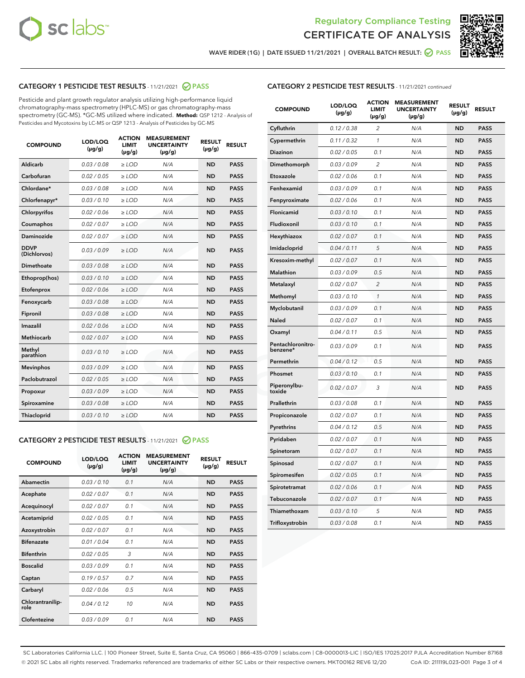



WAVE RIDER (1G) | DATE ISSUED 11/21/2021 | OVERALL BATCH RESULT: 2 PASS

# CATEGORY 1 PESTICIDE TEST RESULTS - 11/21/2021 2 PASS

Pesticide and plant growth regulator analysis utilizing high-performance liquid chromatography-mass spectrometry (HPLC-MS) or gas chromatography-mass spectrometry (GC-MS). \*GC-MS utilized where indicated. **Method:** QSP 1212 - Analysis of Pesticides and Mycotoxins by LC-MS or QSP 1213 - Analysis of Pesticides by GC-MS

| <b>COMPOUND</b>             | LOD/LOQ<br>$(\mu g/g)$ | <b>ACTION</b><br><b>LIMIT</b><br>$(\mu g/g)$ | <b>MEASUREMENT</b><br><b>UNCERTAINTY</b><br>$(\mu g/g)$ | <b>RESULT</b><br>$(\mu g/g)$ | <b>RESULT</b> |
|-----------------------------|------------------------|----------------------------------------------|---------------------------------------------------------|------------------------------|---------------|
| Aldicarb                    | 0.03 / 0.08            | $\ge$ LOD                                    | N/A                                                     | <b>ND</b>                    | <b>PASS</b>   |
| Carbofuran                  | 0.02 / 0.05            | $\ge$ LOD                                    | N/A                                                     | <b>ND</b>                    | <b>PASS</b>   |
| Chlordane*                  | 0.03 / 0.08            | $\ge$ LOD                                    | N/A                                                     | <b>ND</b>                    | <b>PASS</b>   |
| Chlorfenapyr*               | 0.03/0.10              | $\ge$ LOD                                    | N/A                                                     | <b>ND</b>                    | <b>PASS</b>   |
| Chlorpyrifos                | 0.02 / 0.06            | $\ge$ LOD                                    | N/A                                                     | <b>ND</b>                    | <b>PASS</b>   |
| Coumaphos                   | 0.02 / 0.07            | $\ge$ LOD                                    | N/A                                                     | <b>ND</b>                    | <b>PASS</b>   |
| Daminozide                  | 0.02 / 0.07            | $\ge$ LOD                                    | N/A                                                     | <b>ND</b>                    | <b>PASS</b>   |
| <b>DDVP</b><br>(Dichlorvos) | 0.03/0.09              | $>$ LOD                                      | N/A                                                     | <b>ND</b>                    | <b>PASS</b>   |
| Dimethoate                  | 0.03 / 0.08            | $\ge$ LOD                                    | N/A                                                     | <b>ND</b>                    | <b>PASS</b>   |
| Ethoprop(hos)               | 0.03/0.10              | $>$ LOD                                      | N/A                                                     | <b>ND</b>                    | <b>PASS</b>   |
| Etofenprox                  | 0.02 / 0.06            | $\ge$ LOD                                    | N/A                                                     | <b>ND</b>                    | <b>PASS</b>   |
| Fenoxycarb                  | 0.03 / 0.08            | $\ge$ LOD                                    | N/A                                                     | <b>ND</b>                    | <b>PASS</b>   |
| Fipronil                    | 0.03 / 0.08            | $\ge$ LOD                                    | N/A                                                     | <b>ND</b>                    | <b>PASS</b>   |
| Imazalil                    | 0.02 / 0.06            | $>$ LOD                                      | N/A                                                     | <b>ND</b>                    | <b>PASS</b>   |
| <b>Methiocarb</b>           | 0.02 / 0.07            | $\ge$ LOD                                    | N/A                                                     | <b>ND</b>                    | <b>PASS</b>   |
| Methyl<br>parathion         | 0.03/0.10              | $\ge$ LOD                                    | N/A                                                     | <b>ND</b>                    | <b>PASS</b>   |
| <b>Mevinphos</b>            | 0.03/0.09              | $\ge$ LOD                                    | N/A                                                     | <b>ND</b>                    | <b>PASS</b>   |
| Paclobutrazol               | 0.02 / 0.05            | $>$ LOD                                      | N/A                                                     | <b>ND</b>                    | <b>PASS</b>   |
| Propoxur                    | 0.03/0.09              | $\ge$ LOD                                    | N/A                                                     | <b>ND</b>                    | <b>PASS</b>   |
| Spiroxamine                 | 0.03 / 0.08            | $\ge$ LOD                                    | N/A                                                     | <b>ND</b>                    | <b>PASS</b>   |
| Thiacloprid                 | 0.03/0.10              | $\ge$ LOD                                    | N/A                                                     | <b>ND</b>                    | <b>PASS</b>   |

## CATEGORY 2 PESTICIDE TEST RESULTS - 11/21/2021 PASS

| <b>COMPOUND</b>          | LOD/LOQ<br>$(\mu g/g)$ | <b>ACTION</b><br>LIMIT<br>$(\mu g/g)$ | <b>MEASUREMENT</b><br><b>UNCERTAINTY</b><br>$(\mu g/g)$ | <b>RESULT</b><br>$(\mu g/g)$ | <b>RESULT</b> |  |
|--------------------------|------------------------|---------------------------------------|---------------------------------------------------------|------------------------------|---------------|--|
| Abamectin                | 0.03/0.10              | 0.1                                   | N/A                                                     | <b>ND</b>                    | <b>PASS</b>   |  |
| Acephate                 | 0.02/0.07              | 0.1                                   | N/A                                                     | <b>ND</b>                    | <b>PASS</b>   |  |
| Acequinocyl              | 0.02/0.07              | 0.1                                   | N/A                                                     | <b>ND</b>                    | <b>PASS</b>   |  |
| Acetamiprid              | 0.02 / 0.05            | 0.1                                   | N/A                                                     | <b>ND</b>                    | <b>PASS</b>   |  |
| Azoxystrobin             | 0.02/0.07              | 0.1                                   | N/A                                                     | <b>ND</b>                    | <b>PASS</b>   |  |
| <b>Bifenazate</b>        | 0.01 / 0.04            | 0.1                                   | N/A                                                     | <b>ND</b>                    | <b>PASS</b>   |  |
| <b>Bifenthrin</b>        | 0 02 / 0 05            | 3                                     | N/A                                                     | <b>ND</b>                    | <b>PASS</b>   |  |
| <b>Boscalid</b>          | 0.03/0.09              | 0.1                                   | N/A                                                     | <b>ND</b>                    | <b>PASS</b>   |  |
| Captan                   | 0.19/0.57              | 0.7                                   | N/A                                                     | <b>ND</b>                    | <b>PASS</b>   |  |
| Carbaryl                 | 0.02/0.06              | 0.5                                   | N/A                                                     | <b>ND</b>                    | <b>PASS</b>   |  |
| Chlorantranilip-<br>role | 0.04/0.12              | 10                                    | N/A                                                     | <b>ND</b>                    | <b>PASS</b>   |  |
| Clofentezine             | 0.03/0.09              | 0.1                                   | N/A                                                     | <b>ND</b>                    | <b>PASS</b>   |  |

# CATEGORY 2 PESTICIDE TEST RESULTS - 11/21/2021 continued

| <b>COMPOUND</b>               | LOD/LOQ<br>$(\mu g/g)$ | <b>ACTION</b><br><b>LIMIT</b><br>$(\mu g/g)$ | <b>MEASUREMENT</b><br><b>UNCERTAINTY</b><br>$(\mu g/g)$ | <b>RESULT</b><br>(µg/g) | <b>RESULT</b> |
|-------------------------------|------------------------|----------------------------------------------|---------------------------------------------------------|-------------------------|---------------|
| Cyfluthrin                    | 0.12 / 0.38            | $\overline{c}$                               | N/A                                                     | <b>ND</b>               | <b>PASS</b>   |
| Cypermethrin                  | 0.11 / 0.32            | 1                                            | N/A                                                     | <b>ND</b>               | <b>PASS</b>   |
| Diazinon                      | 0.02 / 0.05            | 0.1                                          | N/A                                                     | <b>ND</b>               | <b>PASS</b>   |
| Dimethomorph                  | 0.03 / 0.09            | $\overline{c}$                               | N/A                                                     | ND                      | <b>PASS</b>   |
| Etoxazole                     | 0.02 / 0.06            | 0.1                                          | N/A                                                     | ND                      | <b>PASS</b>   |
| Fenhexamid                    | 0.03 / 0.09            | 0.1                                          | N/A                                                     | ND                      | <b>PASS</b>   |
| Fenpyroximate                 | 0.02 / 0.06            | 0.1                                          | N/A                                                     | <b>ND</b>               | <b>PASS</b>   |
| Flonicamid                    | 0.03/0.10              | 0.1                                          | N/A                                                     | ND                      | <b>PASS</b>   |
| Fludioxonil                   | 0.03/0.10              | 0.1                                          | N/A                                                     | <b>ND</b>               | <b>PASS</b>   |
| Hexythiazox                   | 0.02 / 0.07            | 0.1                                          | N/A                                                     | <b>ND</b>               | <b>PASS</b>   |
| Imidacloprid                  | 0.04 / 0.11            | 5                                            | N/A                                                     | <b>ND</b>               | <b>PASS</b>   |
| Kresoxim-methyl               | 0.02 / 0.07            | 0.1                                          | N/A                                                     | <b>ND</b>               | <b>PASS</b>   |
| <b>Malathion</b>              | 0.03 / 0.09            | 0.5                                          | N/A                                                     | ND                      | <b>PASS</b>   |
| Metalaxyl                     | 0.02 / 0.07            | $\overline{c}$                               | N/A                                                     | <b>ND</b>               | <b>PASS</b>   |
| Methomyl                      | 0.03 / 0.10            | $\mathcal{I}$                                | N/A                                                     | ND                      | <b>PASS</b>   |
| Myclobutanil                  | 0.03 / 0.09            | 0.1                                          | N/A                                                     | <b>ND</b>               | <b>PASS</b>   |
| Naled                         | 0.02 / 0.07            | 0.1                                          | N/A                                                     | <b>ND</b>               | <b>PASS</b>   |
| Oxamyl                        | 0.04 / 0.11            | 0.5                                          | N/A                                                     | ND                      | <b>PASS</b>   |
| Pentachloronitro-<br>benzene* | 0.03 / 0.09            | 0.1                                          | N/A                                                     | ND                      | <b>PASS</b>   |
| Permethrin                    | 0.04 / 0.12            | 0.5                                          | N/A                                                     | <b>ND</b>               | <b>PASS</b>   |
| Phosmet                       | 0.03 / 0.10            | 0.1                                          | N/A                                                     | ND                      | <b>PASS</b>   |
| Piperonylbu-<br>toxide        | 0.02 / 0.07            | 3                                            | N/A                                                     | ND                      | <b>PASS</b>   |
| Prallethrin                   | 0.03 / 0.08            | 0.1                                          | N/A                                                     | <b>ND</b>               | <b>PASS</b>   |
| Propiconazole                 | 0.02 / 0.07            | 0.1                                          | N/A                                                     | ND                      | <b>PASS</b>   |
| Pyrethrins                    | 0.04 / 0.12            | 0.5                                          | N/A                                                     | <b>ND</b>               | <b>PASS</b>   |
| Pyridaben                     | 0.02 / 0.07            | 0.1                                          | N/A                                                     | <b>ND</b>               | <b>PASS</b>   |
| Spinetoram                    | 0.02 / 0.07            | 0.1                                          | N/A                                                     | <b>ND</b>               | <b>PASS</b>   |
| Spinosad                      | 0.02 / 0.07            | 0.1                                          | N/A                                                     | <b>ND</b>               | <b>PASS</b>   |
| Spiromesifen                  | 0.02 / 0.05            | 0.1                                          | N/A                                                     | <b>ND</b>               | <b>PASS</b>   |
| Spirotetramat                 | 0.02 / 0.06            | 0.1                                          | N/A                                                     | <b>ND</b>               | <b>PASS</b>   |
| Tebuconazole                  | 0.02 / 0.07            | 0.1                                          | N/A                                                     | <b>ND</b>               | <b>PASS</b>   |
| Thiamethoxam                  | 0.03 / 0.10            | 5                                            | N/A                                                     | ND                      | <b>PASS</b>   |
| Trifloxystrobin               | 0.03 / 0.08            | 0.1                                          | N/A                                                     | <b>ND</b>               | PASS          |

SC Laboratories California LLC. | 100 Pioneer Street, Suite E, Santa Cruz, CA 95060 | 866-435-0709 | sclabs.com | C8-0000013-LIC | ISO/IES 17025:2017 PJLA Accreditation Number 87168 © 2021 SC Labs all rights reserved. Trademarks referenced are trademarks of either SC Labs or their respective owners. MKT00162 REV6 12/20 CoA ID: 211119L023-001 Page 3 of 4